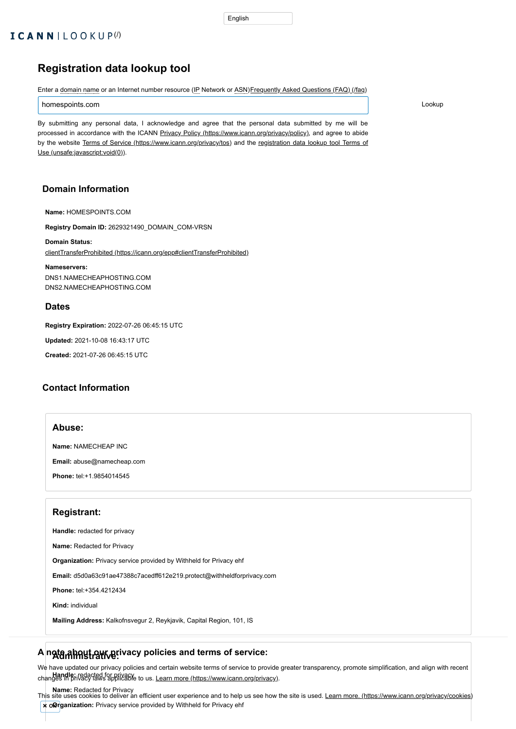# **Registration data lookup tool**

Enter a domain name or an Internet number resource (IP Network or ASN) [Frequently Asked Questions \(FAQ\) \(/faq\)](https://lookup.icann.org/faq)

homespoints.com Lookup

By submitting any personal data, I acknowledge and agree that the personal data submitted by me will be processed in accordance with the ICANN Privacy Policy [\(https://www.icann.org/privacy/policy\),](https://www.icann.org/privacy/policy) and agree to abide by the website Terms of Service [\(https://www.icann.org/privacy/tos\)](https://www.icann.org/privacy/tos) [and the registration data lookup tool Terms of](unsafe:javascript:void(0)) Use (unsafe:javascript:void(0)).

## **Domain Information**

**Name:** HOMESPOINTS.COM

**Registry Domain ID:** 2629321490\_DOMAIN\_COM-VRSN

**Domain Status:** [clientTransferProhibited \(https://icann.org/epp#clientTransferProhibited\)](https://icann.org/epp#clientTransferProhibited)

**Name:** Redacted for Privacy **x** oRrganization: Privacy service provided by Withheld for Privacy ehf This site uses cookies to deliver an efficient user experience and to help us see how the site is used. <u>[Learn more. \(https://www.icann.org/privacy/cookies\)](https://www.icann.org/privacy/cookies)</u>

**Nameservers:** DNS1.NAMECHEAPHOSTING.COM DNS2.NAMECHEAPHOSTING.COM

### **Dates**

**Registry Expiration:** 2022-07-26 06:45:15 UTC

**Updated:** 2021-10-08 16:43:17 UTC

**Created:** 2021-07-26 06:45:15 UTC

# **Contact Information**

#### **Abuse:**

**Name:** NAMECHEAP INC

**Email:** abuse@namecheap.com

**Phone:** tel:+1.9854014545

## **Registrant:**

**Handle:** redacted for privacy

**Name:** Redacted for Privacy

**Organization:** Privacy service provided by Withheld for Privacy ehf

**Email:** d5d0a63c91ae47388c7acedff612e219.protect@withheldforprivacy.com

**Phone:** tel:+354.4212434

**Kind:** individual

**Mailing Address:** Kalkofnsvegur 2, Reykjavik, Capital Region, 101, IS

# **Administrative: A note about our privacy policies and terms of service:**

Landle: redacted for privacy<br>changes in privacy laws applicable to us. <u>Learn more (https://www.icann.org/privacy)</u>. We have updated our privacy policies and certain website terms of service to provide greater transparency, promote simplification, and align with recent

#### English

# $ICANNILOOKUP<sup>(1)</sup>$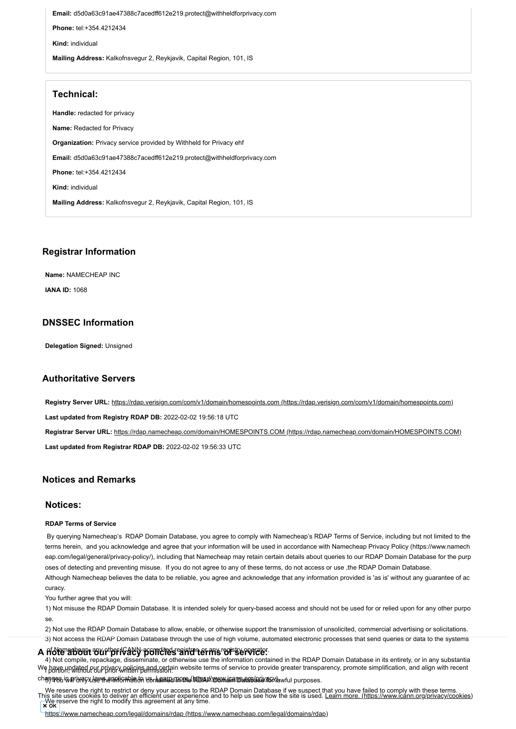**Email:** d5d0a63c91ae47388c7acedff612e219.protect@withheldforprivacy.com **Phone:** tel:+354.4212434 **Kind:** individual **Mailing Address:** Kalkofnsvegur 2, Reykjavik, Capital Region, 101, IS

# **Technical:**

**Handle:** redacted for privacy **Name:** Redacted for Privacy **Organization:** Privacy service provided by Withheld for Privacy ehf **Email:** d5d0a63c91ae47388c7acedff612e219.protect@withheldforprivacy.com **Phone:** tel:+354.4212434 **Kind:** individual **Mailing Address:** Kalkofnsvegur 2, Reykjavik, Capital Region, 101, IS

# **Registrar Information**

**Name:** NAMECHEAP INC

**IANA ID:** 1068

# **DNSSEC Information**

**Delegation Signed:** Unsigned

# **Authoritative Servers**

**Registry Server URL:** [https://rdap.verisign.com/com/v1/domain/homespoints.com \(https://rdap.verisign.com/com/v1/domain/homespoints.com\)](https://rdap.verisign.com/com/v1/domain/homespoints.com) **Last updated from Registry RDAP DB:** 2022-02-02 19:56:18 UTC

**Registrar Server URL:** [https://rdap.namecheap.com/domain/HOMESPOINTS.COM \(https://rdap.namecheap.com/domain/HOMESPOINTS.COM\)](https://rdap.namecheap.com/domain/HOMESPOINTS.COM) **Last updated from Registrar RDAP DB:** 2022-02-02 19:56:33 UTC

# **Notices and Remarks**

## **Notices:**

#### **RDAP Terms of Service**

4) Not compile, repackage, disseminate, or otherwise use the information contained in the RDAP Domain Database in its entirety, or in any substantia We have Hodated pur privacy molicies and certain website terms of service to provide greater transparency, promote simplification, and align with recent

3) YSti Will BRIG WIEW IS MAGRIBERN COn<del>tained IIP IFO RIDAP WOM THE IDDIEIBRISH IS</del>P Jawful purposes. changes in in rundsy law a pulicable to us. Languary more (https://www.icannogualguay/awful purposes.

By querying Namecheap's RDAP Domain Database, you agree to comply with Namecheap's RDAP Terms of Service, including but not limited to the terms herein, and you acknowledge and agree that your information will be used in accordance with Namecheap Privacy Policy (https://www.namech

eap.com/legal/general/privacy-policy/), including that Namecheap may retain certain details about queries to our RDAP Domain Database for the purp oses of detecting and preventing misuse. If you do not agree to any of these terms, do not access or use ,the RDAP Domain Database. Although Namecheap believes the data to be reliable, you agree and acknowledge that any information provided is 'as is' without any guarantee of ac curacy.

We reserve the right to restrict or deny your access to the RDAP Domain Database if we suspect that you have failed to comply with these terms. We reserve the right to modify this agreement at any time. This site uses cookies to deliver an efficient user experience and to help us see how the site is used. [Learn more. \(https://www.icann.org/privacy/cookies\)](https://www.icann.org/privacy/cookies) **OK**

You further agree that you will:

1) Not misuse the RDAP Domain Database. It is intended solely for query-based access and should not be used for or relied upon for any other purpo

se.

2) Not use the RDAP Domain Database to allow, enable, or otherwise support the transmission of unsolicited, commercial advertising or solicitations.

3) Not access the RDAP Domain Database through the use of high volume, automated electronic processes that send queries or data to the systems

#### of Namecheap, any other ICANN-accredited registrar, or any registry operator. **A note about our privacy policies and terms of service:**

[https://www.namecheap.com/legal/domains/rdap \(https://www.namecheap.com/legal/domains/rdap\)](https://www.namecheap.com/legal/domains/rdap)